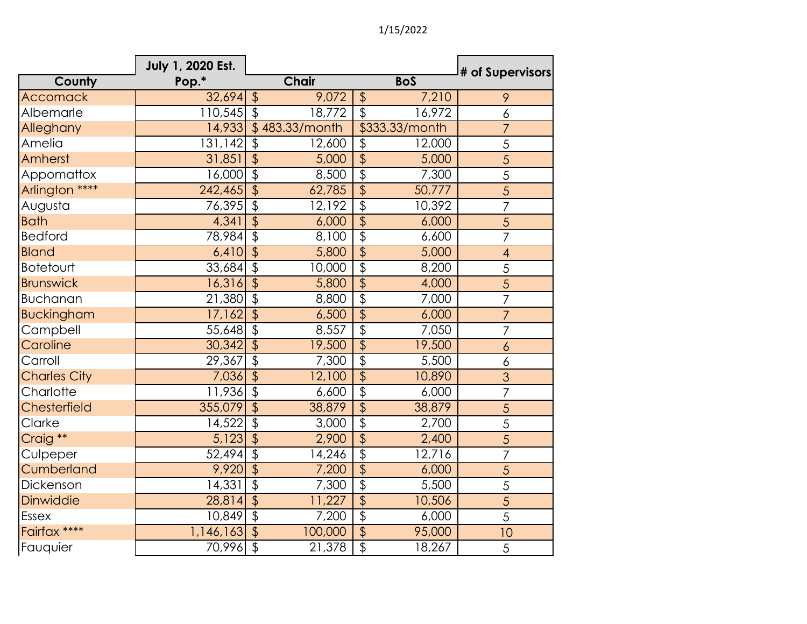1/15/2022

|                     | July 1, 2020 Est. |                           |                |                           |                | # of Supervisors         |
|---------------------|-------------------|---------------------------|----------------|---------------------------|----------------|--------------------------|
| County              | Pop.*             |                           | <b>Chair</b>   |                           | <b>BoS</b>     |                          |
| Accomack            | 32,694            | $\sqrt[6]{}$              | 9,072          | $\frac{1}{2}$             | 7,210          | 9                        |
| Albemarle           | $110,545$ \$      |                           | 18,772         | $\overline{\mathcal{L}}$  | 16,972         | $\delta$                 |
| Alleghany           | 14,933            |                           | \$483.33/month |                           | \$333.33/month | $\overline{7}$           |
| Amelia              | 131,142           | $\sqrt[6]{\frac{1}{2}}$   | 12,600         | \$                        | 12,000         | 5                        |
| Amherst             | 31,851            | $\overline{\mathcal{L}}$  | 5,000          | $\overline{\mathbf{P}}$   | 5,000          | 5                        |
| Appomattox          | 16,000            | $\overline{\mathcal{L}}$  | 8,500          | $\overline{\frac{1}{2}}$  | 7,300          | $\overline{5}$           |
| Arlington ****      | 242,465           | $\overline{\mathcal{S}}$  | 62,785         | $\overline{\frac{1}{2}}$  | 50,777         | $\overline{5}$           |
| Augusta             | 76,395            | $\overline{\mathfrak{s}}$ | 12,192         | $\overline{\frac{1}{2}}$  | 10,392         | $\overline{7}$           |
| <b>Bath</b>         | 4,341             | $\overline{\mathcal{L}}$  | 6,000          | $\overline{\varphi}$      | 6,000          | 5                        |
| <b>Bedford</b>      | 78,984            | $\overline{\mathcal{L}}$  | 8,100          | $\overline{\frac{1}{2}}$  | 6,600          | $\overline{7}$           |
| <b>Bland</b>        | 6,410             | $\overline{\mathcal{L}}$  | 5,800          | $\overline{\varphi}$      | 5,000          | $\overline{\mathcal{A}}$ |
| <b>Botetourt</b>    | 33,684            | $\overline{\$}$           | 10,000         | $\overline{\frac{1}{2}}$  | 8,200          | 5                        |
| <b>Brunswick</b>    | 16,316            | $\overline{\$}$           | 5,800          | $\overline{\frac{1}{2}}$  | 4,000          | $\overline{5}$           |
| <b>Buchanan</b>     | 21,380            | $\overline{\mathcal{L}}$  | 8,800          | $\overline{\mathcal{L}}$  | 7,000          | $\overline{7}$           |
| <b>Buckingham</b>   | 17,162            | $\overline{\mathcal{S}}$  | 6,500          | $\overline{\mathcal{L}}$  | 6,000          | $\overline{7}$           |
| Campbell            | 55,648            | $\overline{\mathcal{L}}$  | 8,557          | $\overline{\mathcal{L}}$  | 7,050          | $\overline{7}$           |
| Caroline            | 30,342            | $\overline{\$}$           | 19,500         | $\overline{\varphi}$      | 19,500         | $\boldsymbol{6}$         |
| Carroll             | 29,367            | $\overline{\mathcal{L}}$  | 7,300          | $\overline{\$}$           | 5,500          | 6                        |
| <b>Charles City</b> | 7,036             | $\overline{\$}$           | 12,100         | $\overline{\frac{1}{2}}$  | 10,890         | 3                        |
| Charlotte           | 11,936            | $\overline{\mathcal{E}}$  | 6,600          | $\overline{\mathcal{G}}$  | 6,000          | $\overline{7}$           |
| Chesterfield        | 355,079           | $\overline{\mathcal{L}}$  | 38,879         | $\overline{\mathfrak{s}}$ | 38,879         | $\overline{5}$           |
| Clarke              | 14,522            | $\overline{\mathfrak{s}}$ | 3,000          | $\overline{\mathcal{L}}$  | 2,700          | 5                        |
| Craig <sup>**</sup> | 5,123             | $\overline{\mathcal{L}}$  | 2,900          | $\overline{\varphi}$      | 2,400          | 5                        |
| Culpeper            | 52,494            | $\overline{\mathcal{E}}$  | 14,246         | $\overline{\varphi}$      | 12,716         | $\overline{7}$           |
| Cumberland          | 9,920             | $\overline{\mathcal{L}}$  | 7,200          | $\overline{\frac{1}{2}}$  | 6,000          | 5                        |
| Dickenson           | 14,331            | $\overline{\mathcal{S}}$  | 7,300          | $\overline{\varphi}$      | 5,500          | 5                        |
| Dinwiddie           | 28,814            | $\overline{\mathcal{S}}$  | 11,227         | $\overline{\mathcal{L}}$  | 10,506         | $\overline{5}$           |
| <b>Essex</b>        | 10,849            | $\overline{\$}$           | 7,200          | $\overline{\mathcal{L}}$  | 6,000          | 5                        |
| Fairfax ****        | 1,146,163         | $\overline{\mathcal{S}}$  | 100,000        | $\overline{\$}$           | 95,000         | 10                       |
| Fauquier            | 70,996            | $\overline{\mathcal{S}}$  | 21,378         | $\overline{\mathcal{E}}$  | 18,267         | 5                        |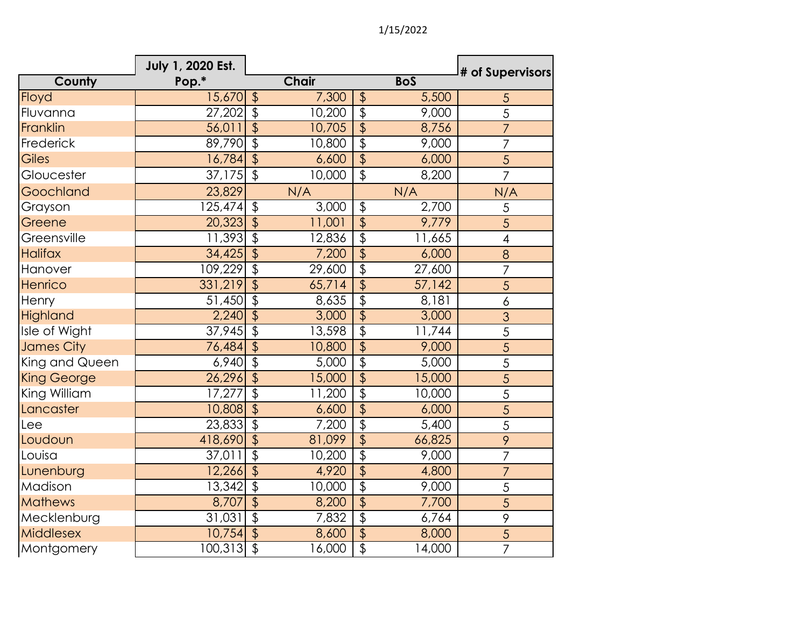|                    | July 1, 2020 Est. |                           |              |                           |                    | # of Supervisors |
|--------------------|-------------------|---------------------------|--------------|---------------------------|--------------------|------------------|
| County             | Pop.*             |                           | <b>Chair</b> |                           | <b>BoS</b>         |                  |
| Floyd              | 15,670            | $\frac{1}{2}$             | 7,300        | $\frac{1}{2}$             | 5,500              | $\overline{5}$   |
| Fluvanna           | 27,202            | $\overline{\mathcal{S}}$  | 10,200       | $\overline{\$}$           | 9,000              | $\overline{5}$   |
| Franklin           | 56,011            | $\overline{\$}$           | 10,705       | $\overline{\mathfrak{s}}$ | 8,756              | $\overline{7}$   |
| Frederick          | 89,790            | $\overline{\mathcal{L}}$  | 10,800       | $\overline{\$}$           | 9,000              | $\overline{7}$   |
| Giles              | 16,784            | $\sqrt{2}$                | 6,600        | $\overline{\mathcal{L}}$  | 6,000              | $\overline{5}$   |
| Gloucester         | 37,175            | $\sqrt{2}$                | 10,000       | \$                        | 8,200              | $\overline{7}$   |
| Goochland          | 23,829            |                           | N/A          |                           | N/A                | N/A              |
| Grayson            | 125,474           | $\frac{1}{2}$             | 3,000        | $\overline{\mathcal{G}}$  | $\overline{2,7}00$ | $\overline{5}$   |
| Greene             | 20,323            | $\overline{\$}$           | 11,001       | $\overline{\mathcal{L}}$  | 9,779              | 5                |
| Greensville        | 11,393            | $\sqrt[6]{\frac{1}{2}}$   | 12,836       | $\overline{\mathcal{E}}$  | 11,665             | 4                |
| <b>Halifax</b>     | 34,425            | $\overline{\mathcal{S}}$  | 7,200        | $\overline{\mathcal{L}}$  | 6,000              | 8                |
| Hanover            | 109,229           | $\overline{\mathfrak{s}}$ | 29,600       | $\overline{\mathfrak{s}}$ | 27,600             | $\overline{7}$   |
| Henrico            | 331,219           | $\sqrt{2}$                | 65,714       | $\overline{\frac{1}{2}}$  | 57,142             | $\overline{5}$   |
| Henry              | 51,450            | $\overline{\mathcal{L}}$  | 8,635        | $\overline{\$}$           | 8,181              | 6                |
| Highland           | 2,240             | $\overline{\mathcal{L}}$  | 3,000        | $\overline{\mathcal{L}}$  | 3,000              | $\overline{3}$   |
| Isle of Wight      | 37,945            | $\overline{\mathfrak{s}}$ | 13,598       | $\overline{\$}$           | 11,744             | 5                |
| James City         | 76,484            | $\sqrt{2}$                | 10,800       | $\overline{\mathcal{L}}$  | 9,000              | 5                |
| King and Queen     | 6,940             | $\overline{\mathfrak{s}}$ | 5,000        | $\overline{\mathcal{G}}$  | 5,000              | 5                |
| <b>King George</b> | 26,296            | $\overline{\mathcal{S}}$  | 15,000       | $\overline{\varphi}$      | 15,000             | $\overline{5}$   |
| King William       | 17,277            | $\boldsymbol{\mathsf{L}}$ | 11,200       | $\overline{\mathcal{E}}$  | 10,000             | 5                |
| Lancaster          | 10,808            | $\overline{\$}$           | 6,600        | $\overline{\mathfrak{s}}$ | 6,000              | $\overline{5}$   |
| Lee                | 23,833            | $\overline{\mathcal{E}}$  | 7,200        | $\overline{\$}$           | 5,400              | 5                |
| Loudoun            | 418,690           | $\sqrt{2}$                | 81,099       | $\overline{\mathcal{L}}$  | 66,825             | 9                |
| Louisa             | 37,011            | $\overline{\mathcal{S}}$  | 10,200       | $\overline{\mathcal{E}}$  | 9,000              | $\overline{7}$   |
| Lunenburg          | 12,266            | $\overline{\mathcal{L}}$  | 4,920        | $\overline{\varphi}$      | 4,800              | $\overline{7}$   |
| Madison            | 13,342            | $\overline{\mathfrak{s}}$ | 10,000       | $\overline{\mathcal{E}}$  | 9,000              | 5                |
| <b>Mathews</b>     | 8,707             | $\overline{\mathcal{S}}$  | 8,200        | $\overline{\mathfrak{s}}$ | 7,700              | 5                |
| Mecklenburg        | 31,031            | $\overline{\mathcal{E}}$  | 7,832        | $\overline{\mathfrak{s}}$ | 6,764              | $\, 9$           |
| <b>Middlesex</b>   | 10,754            | $\sqrt{2}$                | 8,600        | \$                        | 8,000              | 5                |
| Montgomery         | 100,313           | $\overline{\mathcal{L}}$  | 16,000       | $\overline{\$}$           | 14,000             | $\overline{7}$   |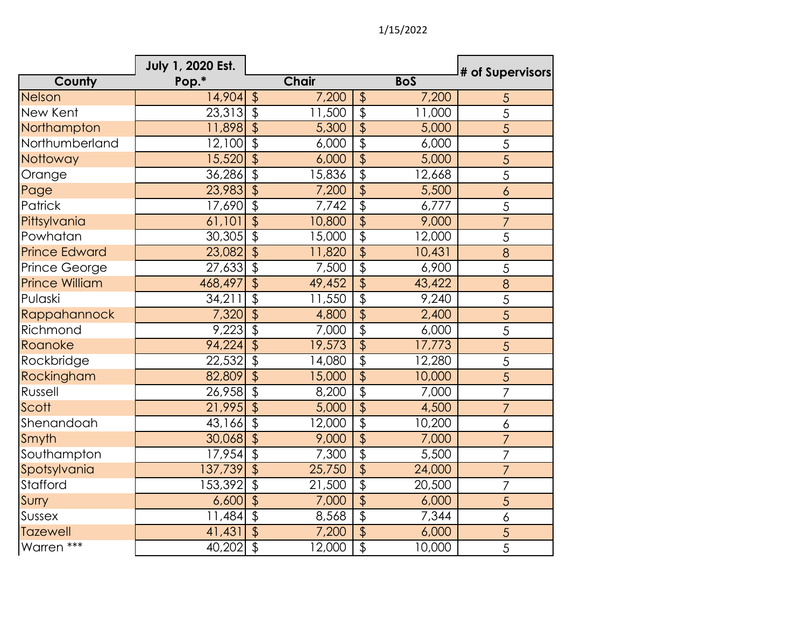|                       | July 1, 2020 Est. |                           |              |                           |            | # of Supervisors |
|-----------------------|-------------------|---------------------------|--------------|---------------------------|------------|------------------|
| County                | Pop.*             |                           | <b>Chair</b> |                           | <b>BoS</b> |                  |
| Nelson                | 14,904            | $\sqrt[6]{\frac{1}{2}}$   | 7,200        | $\frac{1}{2}$             | 7,200      | $\overline{5}$   |
| New Kent              | 23,313            | $\overline{\mathcal{S}}$  | 11,500       | $\overline{\$}$           | 11,000     | $\overline{5}$   |
| Northampton           | 11,898            | $\overline{\$}$           | 5,300        | $\overline{\mathcal{L}}$  | 5,000      | 5                |
| Northumberland        | 12,100            | $\overline{\mathcal{S}}$  | 6,000        | $\overline{\mathcal{E}}$  | 6,000      | 5                |
| Nottoway              | 15,520            | $\overline{\mathcal{L}}$  | 6,000        | $\overline{\mathcal{L}}$  | 5,000      | $\overline{5}$   |
| Orange                | 36,286            | $\overline{\$}$           | 15,836       | $\overline{\mathcal{L}}$  | 12,668     | 5                |
| Page                  | 23,983            | $\overline{\mathcal{L}}$  | 7,200        | $\overline{\mathfrak{s}}$ | 5,500      | $\boldsymbol{6}$ |
| Patrick               | 17,690            | $\overline{\mathcal{E}}$  | 7,742        | $\overline{\mathcal{L}}$  | 6,777      | 5                |
| Pittsylvania          | 61,101            | $\overline{\$}$           | 10,800       | $\overline{\mathfrak{s}}$ | 9,000      | $\overline{7}$   |
| Powhatan              | 30,305            | $\overline{\mathcal{L}}$  | 15,000       | $\overline{\mathcal{L}}$  | 12,000     | 5                |
| <b>Prince Edward</b>  | 23,082            | $\overline{\mathcal{S}}$  | 11,820       | $\overline{\mathcal{L}}$  | 10,431     | 8                |
| Prince George         | 27,633            | $\overline{\mathfrak{s}}$ | 7,500        | $\overline{\mathcal{E}}$  | 6,900      | 5                |
| <b>Prince William</b> | 468,497           | \$                        | 49,452       | $\overline{\mathcal{L}}$  | 43,422     | 8                |
| Pulaski               | 34,211            | $\overline{\mathcal{E}}$  | 11,550       | $\overline{\mathcal{L}}$  | 9,240      | 5                |
| Rappahannock          | 7,320             | $\overline{\mathcal{L}}$  | 4,800        | $\overline{\mathfrak{s}}$ | 2,400      | 5                |
| Richmond              | 9,223             | $\overline{\$}$           | 7,000        | $\overline{\mathcal{L}}$  | 6,000      | $\overline{5}$   |
| Roanoke               | 94,224            | $\overline{\$}$           | 19,573       | $\overline{\frac{1}{2}}$  | 17,773     | 5                |
| Rockbridge            | 22,532            | $\overline{\mathfrak{s}}$ | 14,080       | $\overline{\mathcal{E}}$  | 12,280     | 5                |
| Rockingham            | 82,809            | $\overline{\mathsf{S}}$   | 15,000       | $\overline{\frac{1}{2}}$  | 10,000     | $\overline{5}$   |
| Russell               | 26,958            | $\overline{\mathcal{E}}$  | 8,200        | $\overline{\mathcal{L}}$  | 7,000      | $\overline{7}$   |
| Scott                 | 21,995            | $\overline{\mathcal{L}}$  | 5,000        | $\overline{\mathcal{L}}$  | 4,500      | 7                |
| Shenandoah            | 43,166            | $\overline{\$}$           | 12,000       | $\overline{\mathfrak{s}}$ | 10,200     | 6                |
| Smyth                 | 30,068            | $\overline{\mathcal{S}}$  | 9,000        | $\overline{\mathcal{L}}$  | 7,000      | $\overline{7}$   |
| Southampton           | 17,954            | $\overline{\mathfrak{s}}$ | 7,300        | $\overline{\$}$           | 5,500      | $\overline{7}$   |
| Spotsylvania          | 137,739           | $\overline{\$}$           | 25,750       | $\overline{\mathcal{L}}$  | 24,000     | $\overline{7}$   |
| Stafford              | 153,392           | \$                        | 21,500       | $\overline{\mathcal{E}}$  | 20,500     | $\overline{7}$   |
| Surry                 | 6,600             | $\overline{\mathcal{S}}$  | 7,000        | $\overline{\mathcal{L}}$  | 6,000      | 5                |
| Sussex                | 11,484            | $\overline{\$}$           | 8,568        | $\overline{\mathfrak{s}}$ | 7,344      | 6                |
| <b>Tazewell</b>       | 41,431            | $\sqrt{2}$                | 7,200        | \$                        | 6,000      | 5                |
| Warren ***            | 40,202            | $\overline{\mathfrak{s}}$ | 12,000       | $\overline{\$}$           | 10,000     | $\overline{5}$   |